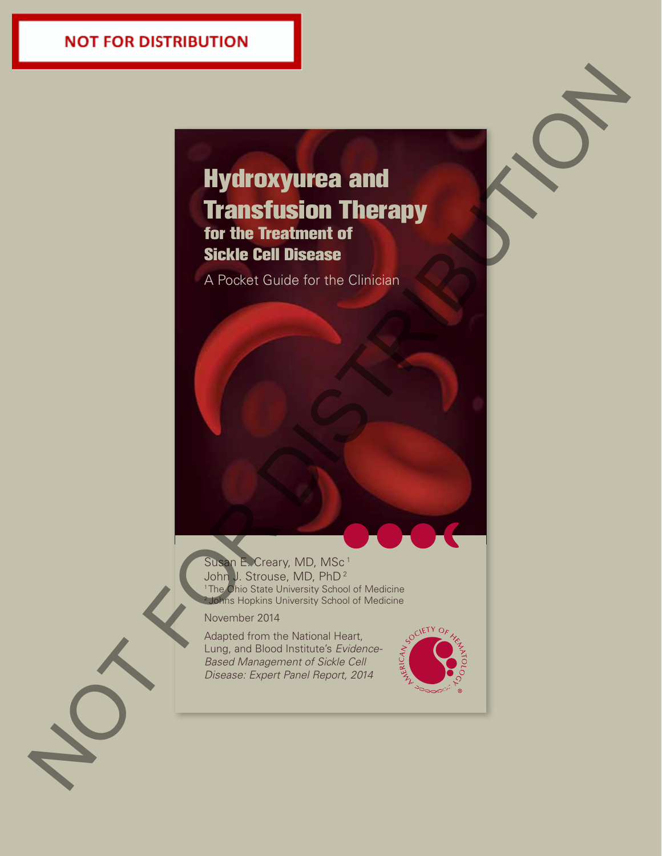# Hydroxyurea and **Transfusion Therapy** for the Treatment of Sickle Cell Disease Hydroxyurea and<br>Transfitusion Therapy<br>for the Treatment of<br>scale Cell Distance<br>A Record Coulde for the Cancer<br>Coulde Cell Distance<br>(Coulde for the Cancer)

A Pocket Guide for the Clinician



November 2014

Adapted from the National Heart, Lung, and Blood Institute's *Evidence-Based Management of Sickle Cell Disease: Expert Panel Report, 2014*

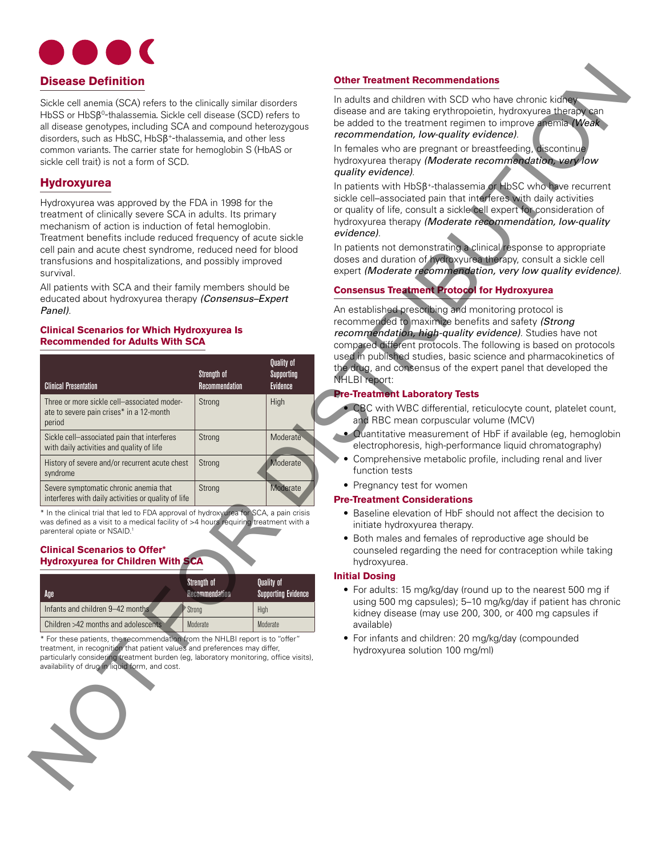

## **Hydroxyurea**

## **Clinical Scenarios for Which Hydroxyurea Is Recommended for Adults With SCA**

| <b>Disease Definition</b>                                                                                                                                                                                                                                                                                                                                                                              |                          |                                    | <b>Other Treatment Recommendations</b>                                                                                                                                                                                                                                                                                                                                                                                                                                                                      |  |  |  |
|--------------------------------------------------------------------------------------------------------------------------------------------------------------------------------------------------------------------------------------------------------------------------------------------------------------------------------------------------------------------------------------------------------|--------------------------|------------------------------------|-------------------------------------------------------------------------------------------------------------------------------------------------------------------------------------------------------------------------------------------------------------------------------------------------------------------------------------------------------------------------------------------------------------------------------------------------------------------------------------------------------------|--|--|--|
| Sickle cell anemia (SCA) refers to the clinically similar disorders<br>HbSS or HbSB <sup>0</sup> -thalassemia. Sickle cell disease (SCD) refers to<br>all disease genotypes, including SCA and compound heterozygous<br>disorders, such as HbSC, HbSß <sup>+-thalassemia, and other less</sup><br>common variants. The carrier state for hemoglobin S (HbAS or                                         |                          |                                    | In adults and children with SCD who have chronic kidneys<br>disease and are taking erythropoietin, hydroxyurea therapy can<br>be added to the treatment regimen to improve anemia (Weak<br>recommendation, low-quality evidence).<br>In females who are pregnant or breastfeeding, discontinue<br>hydroxyurea therapy (Moderate recommendation, very low                                                                                                                                                    |  |  |  |
| sickle cell trait) is not a form of SCD.                                                                                                                                                                                                                                                                                                                                                               |                          |                                    | quality evidence).                                                                                                                                                                                                                                                                                                                                                                                                                                                                                          |  |  |  |
| <b>Hydroxyurea</b><br>Hydroxyurea was approved by the FDA in 1998 for the<br>treatment of clinically severe SCA in adults. Its primary<br>mechanism of action is induction of fetal hemoglobin.<br>Treatment benefits include reduced frequency of acute sickle<br>cell pain and acute chest syndrome, reduced need for blood<br>transfusions and hospitalizations, and possibly improved<br>survival. |                          |                                    | In patients with HbSß <sup>+</sup> -thalassemia or HbSC who have recurrent<br>sickle cell-associated pain that interferes with daily activities<br>or quality of life, consult a sickle cell expert for consideration of<br>hydroxyurea therapy (Moderate recommendation, low-quality<br>evidence).<br>In patients not demonstrating a clinical response to appropriate<br>doses and duration of hydroxyurea therapy, consult a sickle cell<br>expert (Moderate recommendation, very low quality evidence). |  |  |  |
| All patients with SCA and their family members should be<br>educated about hydroxyurea therapy (Consensus-Expert                                                                                                                                                                                                                                                                                       |                          |                                    | <b>Consensus Treatment Protocol for Hydroxyurea</b>                                                                                                                                                                                                                                                                                                                                                                                                                                                         |  |  |  |
| Panel).<br><b>Clinical Scenarios for Which Hydroxyurea Is</b><br><b>Recommended for Adults With SCA</b>                                                                                                                                                                                                                                                                                                | Strength of              | Quality of<br>Supporting           | An established prescribing and monitoring protocol is<br>recommended to maximize benefits and safety (Strong<br>recommendation, high-quality evidence). Studies have not<br>compared different protocols. The following is based on protocols<br>used in published studies, basic science and pharmacokinetics of<br>the drug, and consensus of the expert panel that developed the<br>NHLBI report:                                                                                                        |  |  |  |
| <b>Clinical Presentation</b><br>Three or more sickle cell-associated moder-                                                                                                                                                                                                                                                                                                                            | Recommendation<br>Strong | Evidence<br>High                   | <b>Pre-Treatment Laboratory Tests</b>                                                                                                                                                                                                                                                                                                                                                                                                                                                                       |  |  |  |
| ate to severe pain crises* in a 12-month<br>period                                                                                                                                                                                                                                                                                                                                                     |                          |                                    | • CBC with WBC differential, reticulocyte count, platelet count,<br>and RBC mean corpuscular volume (MCV)                                                                                                                                                                                                                                                                                                                                                                                                   |  |  |  |
| Sickle cell-associated pain that interferes<br>with daily activities and quality of life                                                                                                                                                                                                                                                                                                               | Strong                   | Moderate                           | • Quantitative measurement of HbF if available (eg, hemoglobin<br>electrophoresis, high-performance liquid chromatography)                                                                                                                                                                                                                                                                                                                                                                                  |  |  |  |
| History of severe and/or recurrent acute chest<br>syndrome                                                                                                                                                                                                                                                                                                                                             | Strong                   | Moderate                           | Comprehensive metabolic profile, including renal and liver<br>function tests                                                                                                                                                                                                                                                                                                                                                                                                                                |  |  |  |
| Severe symptomatic chronic anemia that                                                                                                                                                                                                                                                                                                                                                                 | Strong                   | Moderate                           | • Pregnancy test for women                                                                                                                                                                                                                                                                                                                                                                                                                                                                                  |  |  |  |
| interferes with daily activities or quality of life<br>* In the clinical trial that led to FDA approval of hydroxyurea for SCA, a pain crisis<br>was defined as a visit to a medical facility of >4 hours requiring treatment with a                                                                                                                                                                   |                          |                                    | <b>Pre-Treatment Considerations</b><br>• Baseline elevation of HbF should not affect the decision to                                                                                                                                                                                                                                                                                                                                                                                                        |  |  |  |
| parenteral opiate or NSAID. <sup>1</sup><br><b>Clinical Scenarios to Offer*</b><br><b>Hydroxyurea for Children With SCA</b>                                                                                                                                                                                                                                                                            |                          |                                    | initiate hydroxyurea therapy.<br>• Both males and females of reproductive age should be<br>counseled regarding the need for contraception while taking<br>hydroxyurea.                                                                                                                                                                                                                                                                                                                                      |  |  |  |
|                                                                                                                                                                                                                                                                                                                                                                                                        | Strength of              | Quality of                         | <b>Initial Dosing</b>                                                                                                                                                                                                                                                                                                                                                                                                                                                                                       |  |  |  |
| Age<br>Infants and children 9-42 months                                                                                                                                                                                                                                                                                                                                                                | Recommendation           | <b>Supporting Evidence</b><br>High | • For adults: 15 mg/kg/day (round up to the nearest 500 mg if<br>using 500 mg capsules); 5-10 mg/kg/day if patient has chronic                                                                                                                                                                                                                                                                                                                                                                              |  |  |  |
| Children >42 months and adolescents                                                                                                                                                                                                                                                                                                                                                                    | ' Strong<br>Moderate     | Moderate                           | kidney disease (may use 200, 300, or 400 mg capsules if<br>available)                                                                                                                                                                                                                                                                                                                                                                                                                                       |  |  |  |
| * For these patients, the recommendation from the NHLBI report is to "offer"<br>treatment, in recognition that patient values and preferences may differ,<br>particularly considering treatment burden (eq. laboratory monitoring, office visits),<br>availability of drug in liquid form, and cost.                                                                                                   |                          |                                    | • For infants and children: 20 mg/kg/day (compounded<br>hydroxyurea solution 100 mg/ml)                                                                                                                                                                                                                                                                                                                                                                                                                     |  |  |  |
|                                                                                                                                                                                                                                                                                                                                                                                                        |                          |                                    |                                                                                                                                                                                                                                                                                                                                                                                                                                                                                                             |  |  |  |

#### **Clinical Scenarios to Offer\* Hydroxyurea for Children With SCA**

| Age                                 | Strength of<br>Recommendation | <b>Quality of</b><br><b>Supporting Evidence</b> |
|-------------------------------------|-------------------------------|-------------------------------------------------|
| Infants and children 9-42 months    | ≧Strong                       | High                                            |
| Children >42 months and adolescents | Moderate                      | Moderate                                        |



# **Consensus Treatment Protocol for Hydroxyurea**

## **Pre-Treatment Laboratory Tests**

- CBC with WBC differential, reticulocyte count, platelet count, and RBC mean corpuscular volume (MCV)
- Quantitative measurement of HbF if available (eg, hemoglobin electrophoresis, high-performance liquid chromatography)
	- Comprehensive metabolic profile, including renal and liver function tests
- Pregnancy test for women

## **Pre-Treatment Considerations**

- Baseline elevation of HbF should not affect the decision to initiate hydroxyurea therapy.
- Both males and females of reproductive age should be counseled regarding the need for contraception while taking hydroxyurea.

## **Initial Dosing**

- For adults: 15 mg/kg/day (round up to the nearest 500 mg if using 500 mg capsules); 5–10 mg/kg/day if patient has chronic kidney disease (may use 200, 300, or 400 mg capsules if available)
- For infants and children: 20 mg/kg/day (compounded hydroxyurea solution 100 mg/ml)

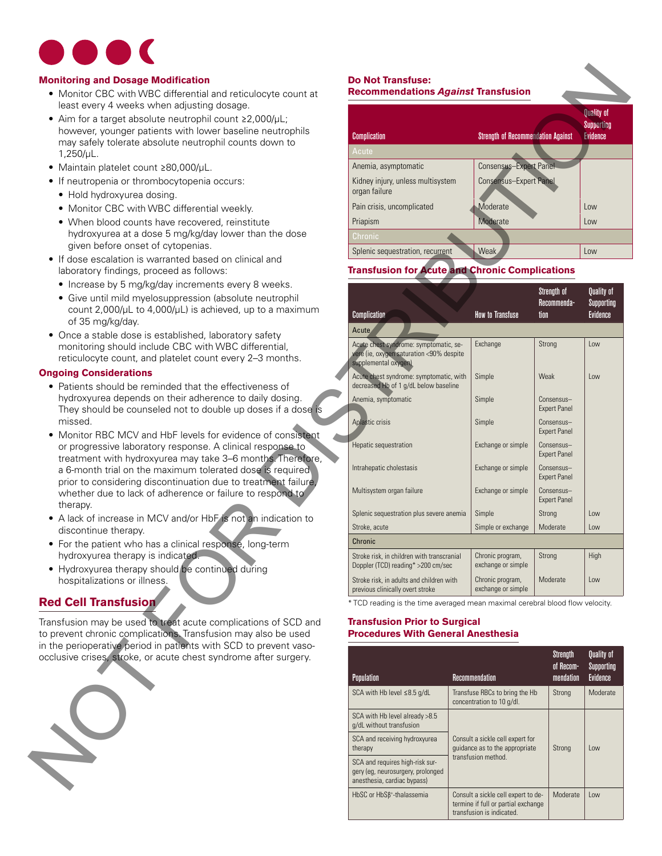

## **Monitoring and Dosage Modification**

- Monitor CBC with WBC differential and reticulocyte count at least every 4 weeks when adjusting dosage.
- • Aim for a target absolute neutrophil count ≥2,000/µL; however, younger patients with lower baseline neutrophils may safely tolerate absolute neutrophil counts down to 1,250/µL.
- • Maintain platelet count ≥80,000/µL.
- If neutropenia or thrombocytopenia occurs:
	- Hold hydroxyurea dosing.
	- Monitor CBC with WBC differential weekly.
	- When blood counts have recovered, reinstitute hydroxyurea at a dose 5 mg/kg/day lower than the dose given before onset of cytopenias.
- If dose escalation is warranted based on clinical and laboratory findings, proceed as follows:
	- Increase by 5 mg/kg/day increments every 8 weeks.
	- Give until mild myelosuppression (absolute neutrophil count 2,000/µL to 4,000/µL) is achieved, up to a maximum of 35 mg/kg/day.
- Once a stable dose is established, laboratory safety monitoring should include CBC with WBC differential, reticulocyte count, and platelet count every 2–3 months.

## **Ongoing Considerations**

- Patients should be reminded that the effectiveness of hydroxyurea depends on their adherence to daily dosing. They should be counseled not to double up doses if a dose is missed.
- Monitor RBC MCV and HbF levels for evidence of consistent or progressive laboratory response. A clinical response to treatment with hydroxyurea may take 3–6 months. Therefore, a 6-month trial on the maximum tolerated dose is required prior to considering discontinuation due to treatment failure, whether due to lack of adherence or failure to respond to therapy.
- A lack of increase in MCV and/or HbF is not an indication to discontinue therapy.
- For the patient who has a clinical response, long-term hydroxyurea therapy is indicated.
- Hydroxyurea therapy should be continued during hospitalizations or illness.

## **Red Cell Transfusion**

Transfusion may be used to treat acute complications of SCD and to prevent chronic complications. Transfusion may also be used in the perioperative period in patients with SCD to prevent vasoocclusive crises, stroke, or acute chest syndrome after surgery.



# **Do Not Transfuse:**

# **Recommendations** *Against* **Transfusion**

| <b>Complication</b>                                | <b>Strength of Recommendation Against</b> | <b>Quality of</b><br>Supporting<br>Evidence |
|----------------------------------------------------|-------------------------------------------|---------------------------------------------|
| Acute                                              |                                           |                                             |
| Anemia, asymptomatic                               | <b>Consensus-Expert Panel</b>             |                                             |
| Kidney injury, unless multisystem<br>organ failure | <b>Consensus-Expert Panel</b>             |                                             |
| Pain crisis, uncomplicated                         | Moderate                                  | Low                                         |
| Priapism                                           | Moderate                                  | Low                                         |
| Chronic                                            |                                           |                                             |
| Splenic sequestration, recurrent                   | <b>Weak</b>                               | Low                                         |

## **Transfusion for Acute and Chronic Complications**

| e Modification                                                                    | <b>Do Not Transfuse:</b>                                                      |                                           |                                   |                   |
|-----------------------------------------------------------------------------------|-------------------------------------------------------------------------------|-------------------------------------------|-----------------------------------|-------------------|
| VBC differential and reticulocyte count at                                        | <b>Recommendations Against Transfusion</b>                                    |                                           |                                   |                   |
| when adjusting dosage.                                                            |                                                                               |                                           |                                   | <b>Quality of</b> |
| olute neutrophil count ≥2,000/µL;                                                 |                                                                               |                                           |                                   | Supporting        |
| atients with lower baseline neutrophils<br>absolute neutrophil counts down to     | <b>Complication</b>                                                           | <b>Strength of Recommendation Against</b> |                                   | Evidence          |
|                                                                                   | Acute                                                                         |                                           |                                   |                   |
| unt ≥80,000/µL.                                                                   | Anemia, asymptomatic                                                          | <b>Consensus-Expert Panel</b>             |                                   |                   |
| ombocytopenia occurs:                                                             | Kidney injury, unless multisystem                                             | <b>Consensus-Expert Panel</b>             |                                   |                   |
| dosing.                                                                           | organ failure                                                                 |                                           |                                   |                   |
| I WBC differential weekly.                                                        | Pain crisis, uncomplicated                                                    | Moderate                                  |                                   | Low               |
| its have recovered, reinstitute                                                   | Priapism                                                                      | Moderate                                  |                                   | Low               |
| dose 5 mg/kg/day lower than the dose                                              | Chronic                                                                       |                                           |                                   |                   |
| et of cytopenias.                                                                 | Splenic sequestration, recurrent                                              | <b>Weak</b>                               |                                   | Low               |
| warranted based on clinical and                                                   |                                                                               |                                           |                                   |                   |
| proceed as follows:                                                               | <b>Transfusion for Acute and Chronic Complications</b>                        |                                           |                                   |                   |
| /kg/day increments every 8 weeks.                                                 |                                                                               |                                           | Strength of                       | Quality of        |
| elosuppression (absolute neutrophil<br>4,000/µL) is achieved, up to a maximum     |                                                                               |                                           | Recommenda-                       | Supporting        |
|                                                                                   | Complication                                                                  | <b>How to Transfuse</b>                   | tion                              | <b>Evidence</b>   |
| is established, laboratory safety                                                 | Acute.                                                                        |                                           |                                   |                   |
| nclude CBC with WBC differential,                                                 | Acute chest syndrome: symptomatic, se-                                        | Exchange                                  | Strong                            | Low               |
| and platelet count every 2-3 months.                                              | vere (ie, oxygen saturation <90% despite<br>supplemental oxygen).             |                                           |                                   |                   |
| ns                                                                                | Acute chest syndrome: symptomatic, with                                       | Simple                                    | Weak                              | Low               |
| eminded that the effectiveness of                                                 | decreased Hb of 1 g/dL below baseline                                         |                                           |                                   |                   |
| ds on their adherence to daily dosing.                                            | Anemia, symptomatic                                                           | Simple                                    | Consensus-                        |                   |
| nseled not to double up doses if a dose is                                        |                                                                               |                                           | <b>Expert Panel</b>               |                   |
|                                                                                   | Aplastic crisis                                                               | Simple                                    | Consensus-<br><b>Expert Panel</b> |                   |
| and HbF levels for evidence of consistent                                         | Hepatic sequestration                                                         | Exchange or simple                        | Consensus-                        |                   |
| atory response. A clinical response to<br>oxyurea may take 3-6 months. Therefore, |                                                                               |                                           | <b>Expert Panel</b>               |                   |
| e maximum tolerated dose is required                                              | Intrahepatic cholestasis                                                      | Exchange or simple                        | Consensus-                        |                   |
| discontinuation due to treatment failure,                                         |                                                                               |                                           | <b>Expert Panel</b>               |                   |
| of adherence or failure to respond to                                             | Multisystem organ failure                                                     | Exchange or simple                        | Consensus-<br><b>Expert Panel</b> |                   |
|                                                                                   | Splenic sequestration plus severe anemia                                      | Simple                                    | Strong                            | Low               |
| MCV and/or HbF is not an indication to                                            | Stroke, acute                                                                 | Simple or exchange                        | Moderate                          | Low               |
| has a clinical response, long-term                                                | Chronic                                                                       |                                           |                                   |                   |
| y is indicated.                                                                   | Stroke risk, in children with transcranial                                    | Chronic program,                          | Strong                            | High              |
| y should be continued during                                                      | Doppler (TCD) reading* >200 cm/sec                                            | exchange or simple                        |                                   |                   |
| lness.                                                                            | Stroke risk, in adults and children with                                      | Chronic program,                          | Moderate                          | Low               |
|                                                                                   | previous clinically overt stroke                                              | exchange or simple                        |                                   |                   |
| on                                                                                | * TCD reading is the time averaged mean maximal cerebral blood flow velocity. |                                           |                                   |                   |
| d to treat acute complications of SCD and                                         | <b>Transfusion Prior to Surgical</b>                                          |                                           |                                   |                   |
| lications. Transfusion may also be used                                           | <b>Procedures With General Anesthesia</b>                                     |                                           |                                   |                   |
| od in patients with SCD to prevent vaso-                                          |                                                                               |                                           |                                   |                   |

## **Transfusion Prior to Surgical Procedures With General Anesthesia**

| <b>Population</b>                                                                                   | Recommendation                                                                                          | Strength<br>of Recom-<br>mendation | Quality of<br>Supporting<br>Evidence |
|-----------------------------------------------------------------------------------------------------|---------------------------------------------------------------------------------------------------------|------------------------------------|--------------------------------------|
| SCA with Hb level $\leq 8.5$ g/dL                                                                   | Transfuse RBCs to bring the Hb<br>concentration to 10 g/dl.                                             | Strong                             | Moderate                             |
| SCA with Hb level already >8.5<br>g/dL without transfusion                                          |                                                                                                         |                                    |                                      |
| SCA and receiving hydroxyurea<br>therapy                                                            | Consult a sickle cell expert for<br>quidance as to the appropriate                                      | Strong                             | low                                  |
| SCA and requires high-risk sur-<br>gery (eg, neurosurgery, prolonged<br>anesthesia, cardiac bypass) | transfusion method.                                                                                     |                                    |                                      |
| HbSC or HbSß <sup>+</sup> -thalassemia                                                              | Consult a sickle cell expert to de-<br>termine if full or partial exchange<br>transfusion is indicated. | Moderate                           | low                                  |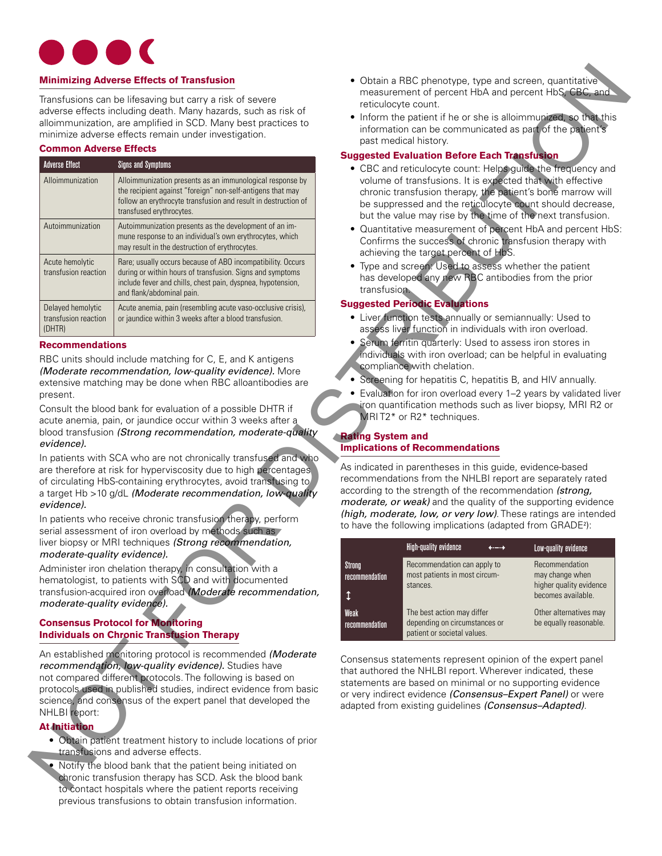

## **Minimizing Adverse Effects of Transfusion**

## **Common Adverse Effects**

| <b>Minimizing Adverse Effects of Transfusion</b><br>Transfusions can be lifesaving but carry a risk of severe<br>adverse effects including death. Many hazards, such as risk of<br>alloimmunization, are amplified in SCD. Many best practices to<br>minimize adverse effects remain under investigation. |                                                                                                                                                                                                                                                                                                                                                                                                | • Obtain a RBC phenotype, type and screen, quantitative<br>measurement of percent HbA and percent HbS, CBC, and<br>reticulocyte count.<br>• Inform the patient if he or she is alloimmunized, so that this |                                                                                                                                                                                                                                                                                                                                                                                                  |                                                                                                              |  |
|-----------------------------------------------------------------------------------------------------------------------------------------------------------------------------------------------------------------------------------------------------------------------------------------------------------|------------------------------------------------------------------------------------------------------------------------------------------------------------------------------------------------------------------------------------------------------------------------------------------------------------------------------------------------------------------------------------------------|------------------------------------------------------------------------------------------------------------------------------------------------------------------------------------------------------------|--------------------------------------------------------------------------------------------------------------------------------------------------------------------------------------------------------------------------------------------------------------------------------------------------------------------------------------------------------------------------------------------------|--------------------------------------------------------------------------------------------------------------|--|
|                                                                                                                                                                                                                                                                                                           |                                                                                                                                                                                                                                                                                                                                                                                                |                                                                                                                                                                                                            | information can be communicated as part of the patient's                                                                                                                                                                                                                                                                                                                                         |                                                                                                              |  |
| <b>Common Adverse Effects</b>                                                                                                                                                                                                                                                                             |                                                                                                                                                                                                                                                                                                                                                                                                |                                                                                                                                                                                                            | past medical history.                                                                                                                                                                                                                                                                                                                                                                            |                                                                                                              |  |
| <b>Adverse Effect</b>                                                                                                                                                                                                                                                                                     | <b>Signs and Symptoms</b>                                                                                                                                                                                                                                                                                                                                                                      |                                                                                                                                                                                                            | <b>Suggested Evaluation Before Each Transfusion</b>                                                                                                                                                                                                                                                                                                                                              |                                                                                                              |  |
| Alloimmunization                                                                                                                                                                                                                                                                                          | Alloimmunization presents as an immunological response by<br>the recipient against "foreign" non-self-antigens that may<br>follow an erythrocyte transfusion and result in destruction of<br>transfused erythrocytes.                                                                                                                                                                          |                                                                                                                                                                                                            | • CBC and reticulocyte count: Helps guide the frequency and<br>volume of transfusions. It is expected that with effective<br>chronic transfusion therapy, the patient's bone marrow will<br>be suppressed and the reticulocyte count should decrease,<br>but the value may rise by the time of the next transfusion.                                                                             |                                                                                                              |  |
| Autoimmunization                                                                                                                                                                                                                                                                                          | Autoimmunization presents as the development of an im-<br>mune response to an individual's own erythrocytes, which<br>may result in the destruction of erythrocytes.                                                                                                                                                                                                                           |                                                                                                                                                                                                            | • Quantitative measurement of percent HbA and percent HbS:<br>Confirms the success of chronic transfusion therapy with<br>achieving the target percent of HbS.                                                                                                                                                                                                                                   |                                                                                                              |  |
| Acute hemolytic<br>transfusion reaction                                                                                                                                                                                                                                                                   | Rare; usually occurs because of ABO incompatibility. Occurs<br>during or within hours of transfusion. Signs and symptoms<br>include fever and chills, chest pain, dyspnea, hypotension,<br>and flank/abdominal pain.                                                                                                                                                                           | • Type and screen: Used to assess whether the patient<br>has developed any new RBC antibodies from the prior<br>transfusion.                                                                               |                                                                                                                                                                                                                                                                                                                                                                                                  |                                                                                                              |  |
| Delayed hemolytic<br>transfusion reaction<br>(DHTR)                                                                                                                                                                                                                                                       | Acute anemia, pain (resembling acute vaso-occlusive crisis),<br>or jaundice within 3 weeks after a blood transfusion.                                                                                                                                                                                                                                                                          | <b>Suggested Periodic Evaluations</b><br>• Liver function tests annually or semiannually: Used to<br>assess liver function in individuals with iron overload.                                              |                                                                                                                                                                                                                                                                                                                                                                                                  |                                                                                                              |  |
| present.                                                                                                                                                                                                                                                                                                  | RBC units should include matching for C, E, and K antigens<br>(Moderate recommendation, low-quality evidence). More<br>extensive matching may be done when RBC alloantibodies are<br>Consult the blood bank for evaluation of a possible DHTR if<br>acute anemia, pain, or jaundice occur within 3 weeks after a<br>blood transfusion (Strong recommendation, moderate-quality                 |                                                                                                                                                                                                            | individuals with iron overload; can be helpful in evaluating<br>compliance with chelation.<br>• Screening for hepatitis C, hepatitis B, and HIV annually.<br>• Evaluation for iron overload every 1-2 years by validated liver<br>iron quantification methods such as liver biopsy, MRI R2 or<br>MRIT2* or R2* techniques.                                                                       |                                                                                                              |  |
| evidence).                                                                                                                                                                                                                                                                                                |                                                                                                                                                                                                                                                                                                                                                                                                | <b>Rating System and</b>                                                                                                                                                                                   | <b>Implications of Recommendations</b>                                                                                                                                                                                                                                                                                                                                                           |                                                                                                              |  |
| evidence).                                                                                                                                                                                                                                                                                                | In patients with SCA who are not chronically transfused and who<br>are therefore at risk for hyperviscosity due to high percentages<br>of circulating HbS-containing erythrocytes, avoid transfusing to<br>a target Hb >10 g/dL (Moderate recommendation, low-quality<br>In patients who receive chronic transfusion therapy, perform<br>serial assessment of iron overload by methods such as |                                                                                                                                                                                                            | As indicated in parentheses in this guide, evidence-based<br>recommendations from the NHLBI report are separately rated<br>according to the strength of the recommendation (strong,<br>moderate, or weak) and the quality of the supporting evidence<br>(high, moderate, low, or very low). These ratings are intended<br>to have the following implications (adapted from GRADE <sup>2</sup> ): |                                                                                                              |  |
|                                                                                                                                                                                                                                                                                                           | liver biopsy or MRI techniques (Strong recommendation,                                                                                                                                                                                                                                                                                                                                         |                                                                                                                                                                                                            | High-quality evidence                                                                                                                                                                                                                                                                                                                                                                            | Low-quality evidence                                                                                         |  |
| moderate-quality evidence).<br>moderate-quality evidence).                                                                                                                                                                                                                                                | Administer iron chelation therapy, in consultation with a<br>hematologist, to patients with SCD and with documented<br>transfusion-acquired iron overload (Moderate recommendation,                                                                                                                                                                                                            | Strong<br>recommendation<br>$\updownarrow$<br><b>Weak</b>                                                                                                                                                  | Recommendation can apply to<br>most patients in most circum-<br>stances.<br>The best action may differ                                                                                                                                                                                                                                                                                           | Recommendation<br>may change when<br>higher quality evidence<br>becomes available.<br>Other alternatives may |  |
|                                                                                                                                                                                                                                                                                                           | <b>Consensus Protocol for Monitoring</b><br><b>Individuals on Chronic Transfusion Therapy</b>                                                                                                                                                                                                                                                                                                  | recommendation                                                                                                                                                                                             | depending on circumstances or<br>patient or societal values.                                                                                                                                                                                                                                                                                                                                     | be equally reasonable.                                                                                       |  |
| NHLBI report:<br><b>At Initiation</b>                                                                                                                                                                                                                                                                     | An established monitoring protocol is recommended (Moderate<br>recommendation, low-quality evidence). Studies have<br>not compared different protocols. The following is based on<br>protocols used in published studies, indirect evidence from basic<br>science, and consensus of the expert panel that developed the                                                                        |                                                                                                                                                                                                            | Consensus statements represent opinion of the expert panel<br>that authored the NHLBI report. Wherever indicated, these<br>statements are based on minimal or no supporting evidence<br>or very indirect evidence (Consensus-Expert Panel) or were<br>adapted from existing guidelines (Consensus-Adapted).                                                                                      |                                                                                                              |  |
|                                                                                                                                                                                                                                                                                                           | • Obtain patient treatment history to include locations of prior<br>transfusions and adverse effects.<br>. Notify the blood bank that the patient being initiated on<br>chronic transfusion therapy has SCD. Ask the blood bank<br>to contact hospitals where the natient reports receiving                                                                                                    |                                                                                                                                                                                                            |                                                                                                                                                                                                                                                                                                                                                                                                  |                                                                                                              |  |

## **Recommendations**

## **Consensus Protocol for Monitoring Individuals on Chronic Transfusion Therapy**

## **At Initiation**

- • Obtain patient treatment history to include locations of prior transfusions and adverse effects.
- Notify the blood bank that the patient being initiated on chronic transfusion therapy has SCD. Ask the blood bank to contact hospitals where the patient reports receiving previous transfusions to obtain transfusion information.
- Obtain a RBC phenotype, type and screen, quantitative measurement of percent HbA and percent HbS, CBC, and reticulocyte count.
- Inform the patient if he or she is alloimmunized, so that this information can be communicated as part of the patient's past medical history.

## **Suggested Evaluation Before Each Transfusion**

- CBC and reticulocyte count: Helps guide the frequency and volume of transfusions. It is expected that with effective chronic transfusion therapy, the patient's bone marrow will be suppressed and the reticulocyte count should decrease, but the value may rise by the time of the next transfusion.
- Quantitative measurement of percent HbA and percent HbS: Confirms the success of chronic transfusion therapy with achieving the target percent of HbS.
- Type and screen: Used to assess whether the patient has developed any new RBC antibodies from the prior transfusion.

## **Suggested Periodic Evaluations**

- • Liver function tests annually or semiannually: Used to assess liver function in individuals with iron overload.
- Serum ferritin quarterly: Used to assess iron stores in individuals with iron overload; can be helpful in evaluating compliance with chelation.
- Screening for hepatitis C, hepatitis B, and HIV annually.
- Evaluation for iron overload every 1–2 years by validated liver iron quantification methods such as liver biopsy, MRI R2 or MRI T2<sup>\*</sup> or R2<sup>\*</sup> techniques.

## **Rating System and Implications of Recommendations**

|                          | High-quality evidence                                                                      | <b>The Contract</b> | Low-quality evidence                                                               |
|--------------------------|--------------------------------------------------------------------------------------------|---------------------|------------------------------------------------------------------------------------|
| Strong<br>recommendation | Recommendation can apply to<br>most patients in most circum-<br>stances.                   |                     | Recommendation<br>may change when<br>higher quality evidence<br>becomes available. |
| Weak<br>recommendation   | The best action may differ<br>depending on circumstances or<br>patient or societal values. |                     | Other alternatives may<br>be equally reasonable.                                   |